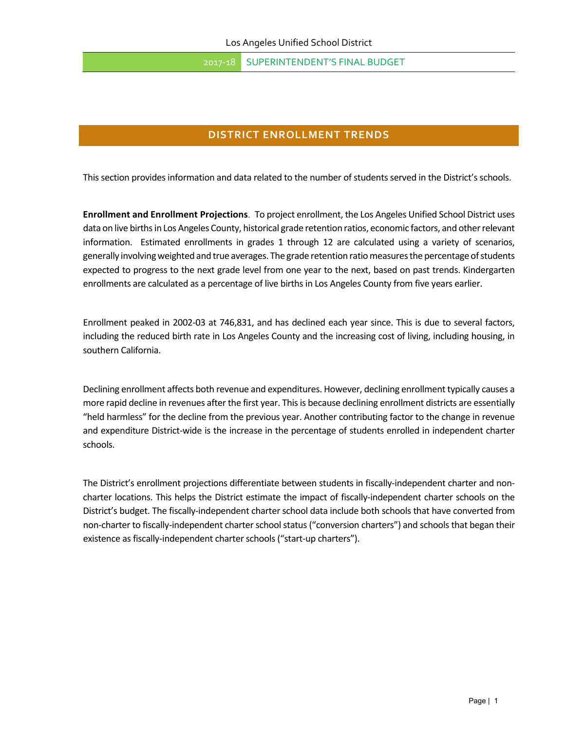2017-18 SUPERINTENDENT'S FINAL BUDGET

# **DISTRICT ENROLLMENT TRENDS**

This section provides information and data related to the number of students served in the District's schools.

**Enrollment and Enrollment Projections**. To project enrollment, the Los Angeles Unified School District uses data on live births in Los Angeles County, historical grade retention ratios, economic factors, and other relevant information. Estimated enrollments in grades 1 through 12 are calculated using a variety of scenarios, generally involving weighted and true averages. The grade retention ratio measures the percentage of students expected to progress to the next grade level from one year to the next, based on past trends. Kindergarten enrollments are calculated as a percentage of live births in Los Angeles County from five years earlier.

Enrollment peaked in 2002‐03 at 746,831, and has declined each year since. This is due to several factors, including the reduced birth rate in Los Angeles County and the increasing cost of living, including housing, in southern California.

Declining enrollment affects both revenue and expenditures. However, declining enrollment typically causes a more rapid decline in revenues after the first year. This is because declining enrollment districts are essentially "held harmless" for the decline from the previous year. Another contributing factor to the change in revenue and expenditure District-wide is the increase in the percentage of students enrolled in independent charter schools.

The District's enrollment projections differentiate between students in fiscally-independent charter and noncharter locations. This helps the District estimate the impact of fiscally‐independent charter schools on the District's budget. The fiscally‐independent charter school data include both schools that have converted from non-charter to fiscally-independent charter school status ("conversion charters") and schools that began their existence as fiscally-independent charter schools ("start-up charters").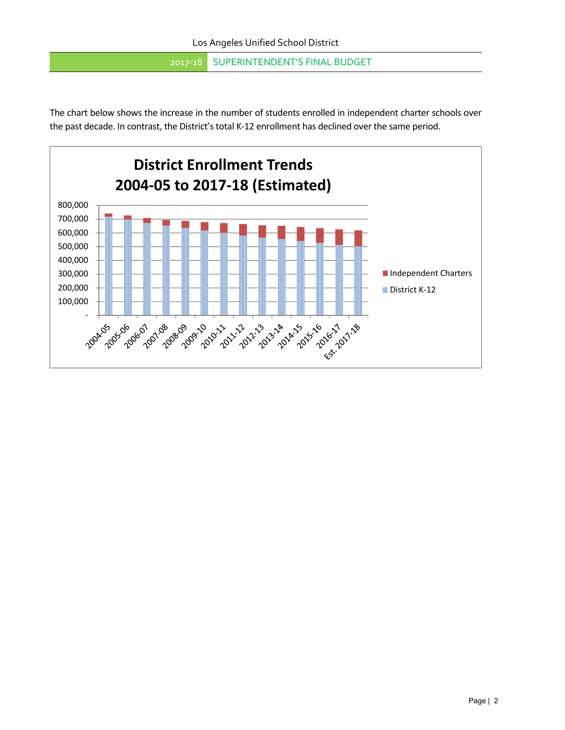2017-18 SUPERINTENDENT'S FINAL BUDGET

The chart below shows the increase in the number of students enrolled in independent charter schools over the past decade. In contrast, the District's total K-12 enrollment has declined over the same period.

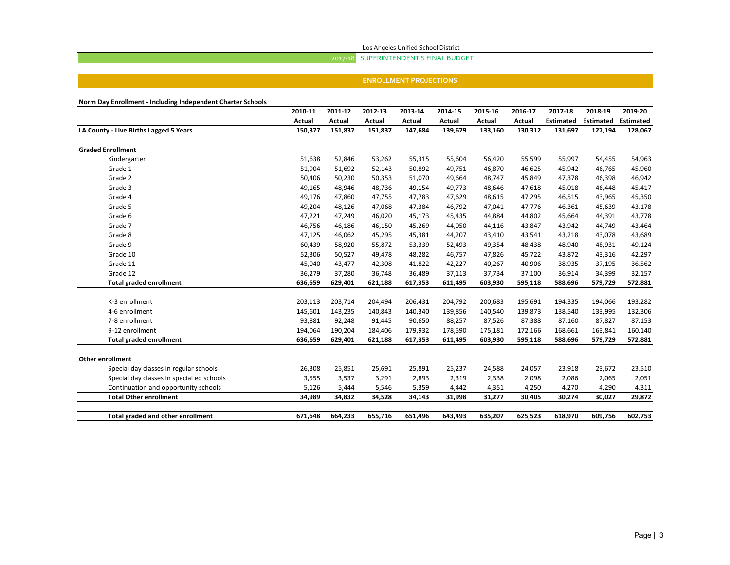Los Angeles Unified School District

### 2017‐18 SUPERINTENDENT'S FINAL BUDGET

#### **ENROLLMENT PROJECTIONS**

**Norm Day Enrollment ‐ Including Independent Charter Schools**

|                                           | 2010-11 | 2011-12 | 2012-13 | 2013-14 | 2014-15       | 2015-16       | 2016-17       | 2017-18          | 2018-19          | 2019-20          |
|-------------------------------------------|---------|---------|---------|---------|---------------|---------------|---------------|------------------|------------------|------------------|
|                                           | Actual  | Actual  | Actual  | Actual  | <b>Actual</b> | <b>Actual</b> | <b>Actual</b> | <b>Estimated</b> | <b>Estimated</b> | <b>Estimated</b> |
| LA County - Live Births Lagged 5 Years    | 150,377 | 151,837 | 151,837 | 147,684 | 139,679       | 133,160       | 130,312       | 131,697          | 127,194          | 128,067          |
| <b>Graded Enrollment</b>                  |         |         |         |         |               |               |               |                  |                  |                  |
| Kindergarten                              | 51,638  | 52,846  | 53,262  | 55,315  | 55,604        | 56,420        | 55,599        | 55,997           | 54,455           | 54,963           |
| Grade 1                                   | 51,904  | 51,692  | 52,143  | 50,892  | 49,751        | 46,870        | 46,625        | 45,942           | 46,765           | 45,960           |
| Grade 2                                   | 50,406  | 50,230  | 50,353  | 51,070  | 49,664        | 48,747        | 45,849        | 47,378           | 46,398           | 46,942           |
| Grade 3                                   | 49,165  | 48,946  | 48,736  | 49,154  | 49,773        | 48,646        | 47,618        | 45,018           | 46,448           | 45,417           |
| Grade 4                                   | 49,176  | 47,860  | 47,755  | 47,783  | 47,629        | 48,615        | 47,295        | 46,515           | 43,965           | 45,350           |
| Grade 5                                   | 49,204  | 48,126  | 47,068  | 47,384  | 46,792        | 47,041        | 47,776        | 46,361           | 45,639           | 43,178           |
| Grade 6                                   | 47,221  | 47,249  | 46,020  | 45,173  | 45,435        | 44,884        | 44,802        | 45,664           | 44,391           | 43,778           |
| Grade 7                                   | 46,756  | 46,186  | 46,150  | 45,269  | 44,050        | 44,116        | 43,847        | 43,942           | 44,749           | 43,464           |
| Grade 8                                   | 47,125  | 46,062  | 45,295  | 45,381  | 44,207        | 43,410        | 43,541        | 43,218           | 43,078           | 43,689           |
| Grade 9                                   | 60,439  | 58,920  | 55,872  | 53,339  | 52,493        | 49,354        | 48,438        | 48,940           | 48,931           | 49,124           |
| Grade 10                                  | 52,306  | 50,527  | 49,478  | 48,282  | 46,757        | 47,826        | 45,722        | 43,872           | 43,316           | 42,297           |
| Grade 11                                  | 45,040  | 43,477  | 42,308  | 41,822  | 42,227        | 40,267        | 40,906        | 38,935           | 37,195           | 36,562           |
| Grade 12                                  | 36,279  | 37,280  | 36,748  | 36,489  | 37,113        | 37,734        | 37,100        | 36,914           | 34,399           | 32,157           |
| <b>Total graded enrollment</b>            | 636,659 | 629,401 | 621,188 | 617,353 | 611,495       | 603,930       | 595,118       | 588,696          | 579,729          | 572,881          |
| K-3 enrollment                            | 203,113 | 203,714 | 204,494 | 206,431 | 204,792       | 200,683       | 195,691       | 194,335          | 194,066          | 193,282          |
| 4-6 enrollment                            | 145,601 | 143,235 | 140,843 | 140,340 | 139,856       | 140,540       | 139,873       | 138,540          | 133,995          | 132,306          |
| 7-8 enrollment                            | 93,881  | 92,248  | 91,445  | 90,650  | 88,257        | 87,526        | 87,388        | 87,160           | 87,827           | 87,153           |
| 9-12 enrollment                           | 194,064 | 190,204 | 184,406 | 179,932 | 178,590       | 175,181       | 172,166       | 168,661          | 163,841          | 160,140          |
| <b>Total graded enrollment</b>            | 636,659 | 629,401 | 621,188 | 617,353 | 611,495       | 603,930       | 595,118       | 588,696          | 579,729          | 572,881          |
| <b>Other enrollment</b>                   |         |         |         |         |               |               |               |                  |                  |                  |
| Special day classes in regular schools    | 26,308  | 25,851  | 25,691  | 25,891  | 25,237        | 24,588        | 24,057        | 23,918           | 23,672           | 23,510           |
| Special day classes in special ed schools | 3,555   | 3,537   | 3,291   | 2,893   | 2,319         | 2,338         | 2,098         | 2,086            | 2,065            | 2,051            |
| Continuation and opportunity schools      | 5,126   | 5,444   | 5,546   | 5,359   | 4,442         | 4,351         | 4,250         | 4,270            | 4,290            | 4,311            |
| <b>Total Other enrollment</b>             | 34,989  | 34,832  | 34,528  | 34,143  | 31,998        | 31,277        | 30,405        | 30,274           | 30,027           | 29,872           |
| Total graded and other enrollment         | 671,648 | 664,233 | 655,716 | 651.496 | 643,493       | 635,207       | 625.523       | 618,970          | 609.756          | 602,753          |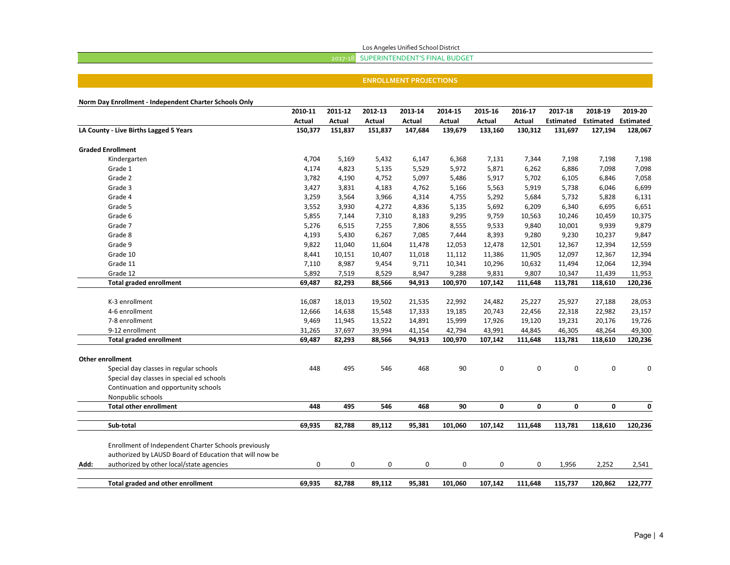Los Angeles Unified School District

## 2017‐18 SUPERINTENDENT'S FINAL BUDGET

#### **ENROLLMENT PROJECTIONS**

|      |                                                         | 2010-11 | 2011-12 | 2012-13 | 2013-14 | 2014-15 | 2015-16       | 2016-17 | 2017-18          | 2018-19          | 2019-20          |
|------|---------------------------------------------------------|---------|---------|---------|---------|---------|---------------|---------|------------------|------------------|------------------|
|      |                                                         | Actual  | Actual  | Actual  | Actual  | Actual  | <b>Actual</b> | Actual  | <b>Estimated</b> | <b>Estimated</b> | <b>Estimated</b> |
|      | LA County - Live Births Lagged 5 Years                  | 150,377 | 151,837 | 151,837 | 147,684 | 139,679 | 133,160       | 130,312 | 131,697          | 127,194          | 128,067          |
|      | <b>Graded Enrollment</b>                                |         |         |         |         |         |               |         |                  |                  |                  |
|      | Kindergarten                                            | 4,704   | 5,169   | 5,432   | 6,147   | 6,368   | 7,131         | 7,344   | 7,198            | 7,198            | 7,198            |
|      | Grade 1                                                 | 4,174   | 4,823   | 5,135   | 5,529   | 5,972   | 5,871         | 6,262   | 6,886            | 7,098            | 7,098            |
|      | Grade 2                                                 | 3,782   | 4,190   | 4,752   | 5,097   | 5,486   | 5,917         | 5,702   | 6,105            | 6,846            | 7,058            |
|      | Grade 3                                                 | 3,427   | 3,831   | 4,183   | 4,762   | 5,166   | 5,563         | 5,919   | 5,738            | 6,046            | 6,699            |
|      | Grade 4                                                 | 3,259   | 3,564   | 3,966   | 4,314   | 4,755   | 5,292         | 5,684   | 5,732            | 5,828            | 6,131            |
|      | Grade 5                                                 | 3,552   | 3,930   | 4,272   | 4,836   | 5,135   | 5,692         | 6,209   | 6,340            | 6,695            | 6,651            |
|      | Grade 6                                                 | 5,855   | 7,144   | 7,310   | 8,183   | 9,295   | 9,759         | 10,563  | 10,246           | 10,459           | 10,375           |
|      | Grade 7                                                 | 5,276   | 6,515   | 7,255   | 7,806   | 8,555   | 9,533         | 9,840   | 10,001           | 9,939            | 9,879            |
|      | Grade 8                                                 | 4,193   | 5,430   | 6,267   | 7,085   | 7,444   | 8,393         | 9,280   | 9,230            | 10,237           | 9,847            |
|      | Grade 9                                                 | 9,822   | 11,040  | 11,604  | 11,478  | 12,053  | 12,478        | 12,501  | 12,367           | 12,394           | 12,559           |
|      | Grade 10                                                | 8,441   | 10,151  | 10,407  | 11,018  | 11,112  | 11,386        | 11,905  | 12,097           | 12,367           | 12,394           |
|      | Grade 11                                                | 7,110   | 8,987   | 9,454   | 9,711   | 10,341  | 10,296        | 10,632  | 11,494           | 12,064           | 12,394           |
|      | Grade 12                                                | 5,892   | 7,519   | 8,529   | 8,947   | 9,288   | 9,831         | 9,807   | 10,347           | 11,439           | 11,953           |
|      | <b>Total graded enrollment</b>                          | 69,487  | 82,293  | 88,566  | 94,913  | 100,970 | 107,142       | 111,648 | 113,781          | 118,610          | 120,236          |
|      | K-3 enrollment                                          | 16,087  | 18,013  | 19,502  | 21,535  | 22,992  | 24,482        | 25,227  | 25,927           | 27,188           | 28,053           |
|      | 4-6 enrollment                                          | 12,666  | 14,638  | 15,548  | 17,333  | 19,185  | 20,743        | 22,456  | 22,318           | 22,982           | 23,157           |
|      | 7-8 enrollment                                          | 9,469   | 11,945  | 13,522  | 14,891  | 15,999  | 17,926        | 19,120  | 19,231           | 20,176           | 19,726           |
|      | 9-12 enrollment                                         | 31,265  | 37,697  | 39,994  | 41,154  | 42,794  | 43,991        | 44,845  | 46,305           | 48,264           | 49,300           |
|      | <b>Total graded enrollment</b>                          | 69,487  | 82,293  | 88,566  | 94,913  | 100,970 | 107,142       | 111,648 | 113,781          | 118,610          | 120,236          |
|      |                                                         |         |         |         |         |         |               |         |                  |                  |                  |
|      | <b>Other enrollment</b>                                 |         |         |         |         |         |               |         |                  |                  |                  |
|      | Special day classes in regular schools                  | 448     | 495     | 546     | 468     | 90      | $\pmb{0}$     | 0       | 0                | 0                | $\mathbf 0$      |
|      | Special day classes in special ed schools               |         |         |         |         |         |               |         |                  |                  |                  |
|      | Continuation and opportunity schools                    |         |         |         |         |         |               |         |                  |                  |                  |
|      | Nonpublic schools                                       |         |         |         |         |         |               |         |                  |                  |                  |
|      | <b>Total other enrollment</b>                           | 448     | 495     | 546     | 468     | 90      | 0             | 0       | 0                | $\mathbf 0$      | 0                |
|      | Sub-total                                               | 69,935  | 82.788  | 89,112  | 95.381  | 101,060 | 107,142       | 111.648 | 113,781          | 118,610          | 120,236          |
|      | Enrollment of Independent Charter Schools previously    |         |         |         |         |         |               |         |                  |                  |                  |
|      | authorized by LAUSD Board of Education that will now be |         |         |         |         |         |               |         |                  |                  |                  |
| Add: | authorized by other local/state agencies                | 0       | 0       | 0       | 0       | 0       | 0             | 0       | 1,956            | 2,252            | 2,541            |
|      | Total graded and other enrollment                       | 69,935  | 82,788  | 89,112  | 95,381  | 101,060 | 107,142       | 111,648 | 115,737          | 120,862          | 122,777          |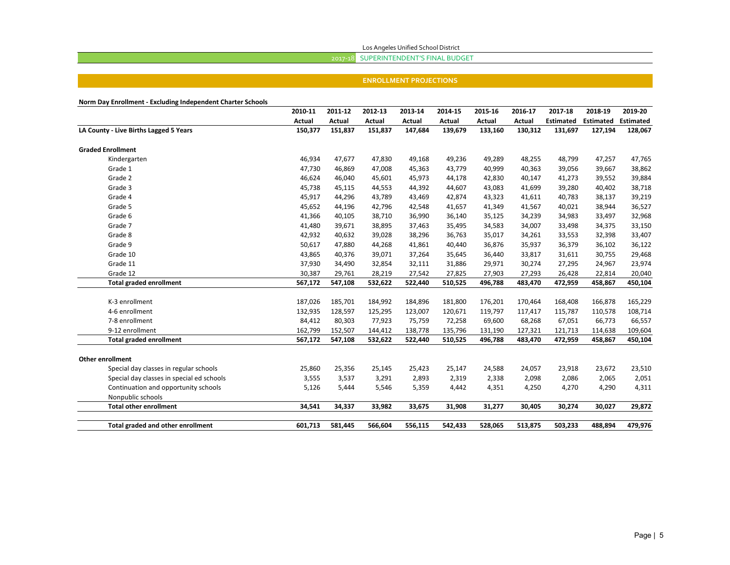#### Los Angeles Unified School District

### 2017‐18 SUPERINTENDENT'S FINAL BUDGET

#### **ENROLLMENT PROJECTIONS**

**Norm Day Enrollment ‐ Excluding Independent Charter Schools**

|                                           | 2010-11 | 2011-12 | 2012-13       | 2013-14 | 2014-15 | 2015-16       | 2016-17       | 2017-18          | 2018-19          | 2019-20          |
|-------------------------------------------|---------|---------|---------------|---------|---------|---------------|---------------|------------------|------------------|------------------|
|                                           | Actual  | Actual  | <b>Actual</b> | Actual  | Actual  | <b>Actual</b> | <b>Actual</b> | <b>Estimated</b> | <b>Estimated</b> | <b>Estimated</b> |
| LA County - Live Births Lagged 5 Years    | 150,377 | 151,837 | 151,837       | 147,684 | 139,679 | 133,160       | 130,312       | 131,697          | 127,194          | 128,067          |
| <b>Graded Enrollment</b>                  |         |         |               |         |         |               |               |                  |                  |                  |
| Kindergarten                              | 46,934  | 47,677  | 47,830        | 49,168  | 49,236  | 49,289        | 48,255        | 48,799           | 47,257           | 47,765           |
| Grade 1                                   | 47,730  | 46,869  | 47,008        | 45,363  | 43,779  | 40,999        | 40,363        | 39,056           | 39,667           | 38,862           |
| Grade 2                                   | 46,624  | 46,040  | 45,601        | 45,973  | 44,178  | 42,830        | 40,147        | 41,273           | 39,552           | 39,884           |
| Grade 3                                   | 45,738  | 45,115  | 44,553        | 44,392  | 44,607  | 43,083        | 41,699        | 39,280           | 40,402           | 38,718           |
| Grade 4                                   | 45,917  | 44,296  | 43,789        | 43,469  | 42,874  | 43,323        | 41,611        | 40,783           | 38,137           | 39,219           |
| Grade 5                                   | 45,652  | 44,196  | 42,796        | 42,548  | 41,657  | 41,349        | 41,567        | 40,021           | 38,944           | 36,527           |
| Grade 6                                   | 41,366  | 40,105  | 38,710        | 36,990  | 36,140  | 35,125        | 34,239        | 34,983           | 33,497           | 32,968           |
| Grade 7                                   | 41,480  | 39,671  | 38,895        | 37,463  | 35,495  | 34,583        | 34,007        | 33,498           | 34,375           | 33,150           |
| Grade 8                                   | 42,932  | 40,632  | 39,028        | 38,296  | 36,763  | 35,017        | 34,261        | 33,553           | 32,398           | 33,407           |
| Grade 9                                   | 50,617  | 47,880  | 44,268        | 41,861  | 40,440  | 36,876        | 35,937        | 36,379           | 36,102           | 36,122           |
| Grade 10                                  | 43,865  | 40,376  | 39,071        | 37,264  | 35,645  | 36,440        | 33,817        | 31,611           | 30,755           | 29,468           |
| Grade 11                                  | 37,930  | 34,490  | 32,854        | 32,111  | 31,886  | 29,971        | 30,274        | 27,295           | 24,967           | 23,974           |
| Grade 12                                  | 30,387  | 29,761  | 28,219        | 27,542  | 27,825  | 27,903        | 27,293        | 26,428           | 22,814           | 20,040           |
| <b>Total graded enrollment</b>            | 567,172 | 547,108 | 532,622       | 522,440 | 510,525 | 496,788       | 483,470       | 472,959          | 458,867          | 450,104          |
|                                           |         |         |               |         |         |               |               |                  |                  |                  |
| K-3 enrollment                            | 187,026 | 185,701 | 184,992       | 184,896 | 181,800 | 176,201       | 170,464       | 168,408          | 166,878          | 165,229          |
| 4-6 enrollment                            | 132,935 | 128,597 | 125,295       | 123,007 | 120,671 | 119,797       | 117,417       | 115,787          | 110,578          | 108,714          |
| 7-8 enrollment                            | 84,412  | 80,303  | 77,923        | 75,759  | 72,258  | 69,600        | 68,268        | 67,051           | 66,773           | 66,557           |
| 9-12 enrollment                           | 162,799 | 152,507 | 144,412       | 138,778 | 135,796 | 131,190       | 127,321       | 121,713          | 114,638          | 109,604          |
| <b>Total graded enrollment</b>            | 567,172 | 547,108 | 532,622       | 522,440 | 510,525 | 496,788       | 483,470       | 472,959          | 458,867          | 450,104          |
| <b>Other enrollment</b>                   |         |         |               |         |         |               |               |                  |                  |                  |
| Special day classes in regular schools    | 25,860  | 25,356  | 25,145        | 25,423  | 25,147  | 24,588        | 24,057        | 23,918           | 23,672           | 23,510           |
| Special day classes in special ed schools | 3,555   | 3,537   | 3,291         | 2,893   | 2,319   | 2,338         | 2,098         | 2,086            | 2,065            | 2,051            |
| Continuation and opportunity schools      | 5,126   | 5,444   | 5,546         | 5,359   | 4,442   | 4,351         | 4,250         | 4,270            | 4,290            | 4,311            |
| Nonpublic schools                         |         |         |               |         |         |               |               |                  |                  |                  |
| <b>Total other enrollment</b>             | 34,541  | 34,337  | 33,982        | 33,675  | 31,908  | 31,277        | 30,405        | 30,274           | 30,027           | 29,872           |
|                                           |         |         |               |         |         |               |               |                  |                  |                  |
| Total graded and other enrollment         | 601,713 | 581,445 | 566,604       | 556,115 | 542,433 | 528,065       | 513,875       | 503,233          | 488,894          | 479,976          |